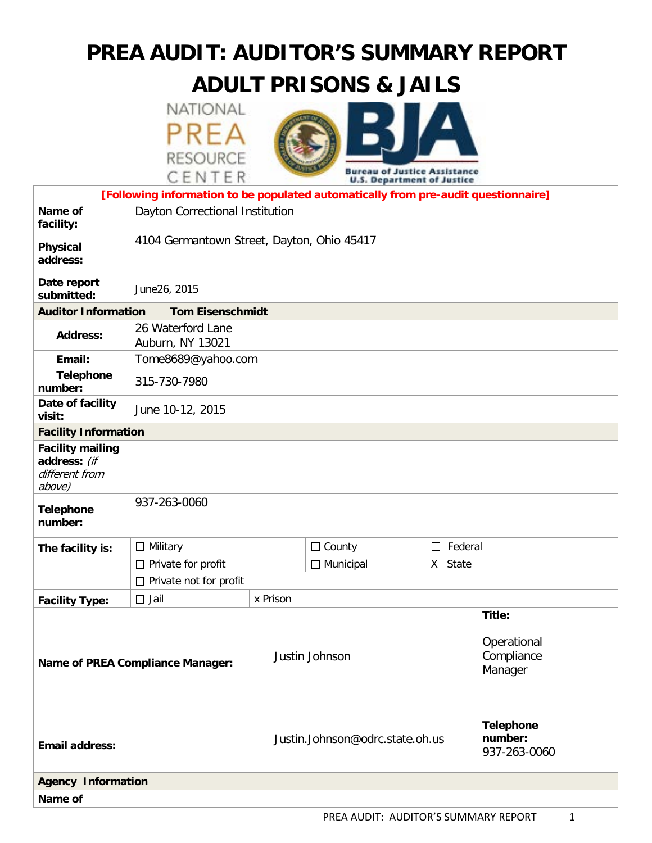# **PREA AUDIT: AUDITOR'S SUMMARY REPORT**

# **ADULT PRISONS & JAILS**

NATIONAL PRFA **RESOURCE** 



|                                                                                    | CENIER<br><b>U.S. Department of Justice</b> |          |                                      |                   |                                                |  |  |  |
|------------------------------------------------------------------------------------|---------------------------------------------|----------|--------------------------------------|-------------------|------------------------------------------------|--|--|--|
| [Following information to be populated automatically from pre-audit questionnaire] |                                             |          |                                      |                   |                                                |  |  |  |
| Name of<br>facility:                                                               | Dayton Correctional Institution             |          |                                      |                   |                                                |  |  |  |
| Physical<br>address:                                                               | 4104 Germantown Street, Dayton, Ohio 45417  |          |                                      |                   |                                                |  |  |  |
| Date report<br>submitted:                                                          | June26, 2015                                |          |                                      |                   |                                                |  |  |  |
| <b>Auditor Information</b><br><b>Tom Eisenschmidt</b>                              |                                             |          |                                      |                   |                                                |  |  |  |
| <b>Address:</b>                                                                    | 26 Waterford Lane<br>Auburn, NY 13021       |          |                                      |                   |                                                |  |  |  |
| Email:                                                                             | Tome8689@yahoo.com                          |          |                                      |                   |                                                |  |  |  |
| <b>Telephone</b><br>number:                                                        | 315-730-7980                                |          |                                      |                   |                                                |  |  |  |
| Date of facility<br>visit:                                                         | June 10-12, 2015                            |          |                                      |                   |                                                |  |  |  |
| <b>Facility Information</b>                                                        |                                             |          |                                      |                   |                                                |  |  |  |
| <b>Facility mailing</b><br>address: (if<br>different from<br>above)                |                                             |          |                                      |                   |                                                |  |  |  |
| <b>Telephone</b><br>number:                                                        | 937-263-0060                                |          |                                      |                   |                                                |  |  |  |
| The facility is:                                                                   | $\Box$ Military                             |          | $\Box$ County                        | Federal<br>$\Box$ |                                                |  |  |  |
|                                                                                    | $\Box$ Private for profit                   |          | $\Box$ Municipal<br>X State          |                   |                                                |  |  |  |
|                                                                                    | Private not for profit                      |          |                                      |                   |                                                |  |  |  |
| <b>Facility Type:</b>                                                              | $\Box$ Jail                                 | x Prison |                                      |                   |                                                |  |  |  |
|                                                                                    | <b>Name of PREA Compliance Manager:</b>     |          | Justin Johnson                       |                   | Title:<br>Operational<br>Compliance<br>Manager |  |  |  |
| <b>Email address:</b>                                                              |                                             |          | Justin.Johnson@odrc.state.oh.us      |                   | <b>Telephone</b><br>number:<br>937-263-0060    |  |  |  |
| <b>Agency Information</b>                                                          |                                             |          |                                      |                   |                                                |  |  |  |
| Name of                                                                            |                                             |          |                                      |                   |                                                |  |  |  |
|                                                                                    |                                             |          | PREA AUDIT: AUDITOR'S SUMMARY REPORT |                   | 1                                              |  |  |  |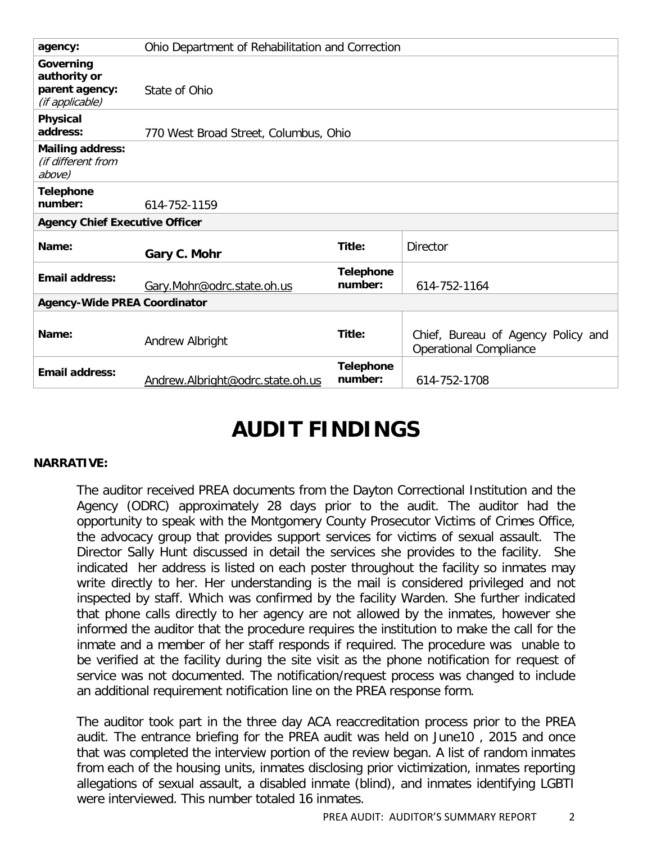| agency:                                                        | Ohio Department of Rehabilitation and Correction |                             |                                                                     |  |  |  |  |
|----------------------------------------------------------------|--------------------------------------------------|-----------------------------|---------------------------------------------------------------------|--|--|--|--|
| Governing<br>authority or<br>parent agency:<br>(if applicable) | State of Ohio                                    |                             |                                                                     |  |  |  |  |
| Physical<br>address:                                           | 770 West Broad Street, Columbus, Ohio            |                             |                                                                     |  |  |  |  |
| <b>Mailing address:</b><br>(if different from<br>above)        |                                                  |                             |                                                                     |  |  |  |  |
| <b>Telephone</b><br>number:                                    | 614-752-1159                                     |                             |                                                                     |  |  |  |  |
| <b>Agency Chief Executive Officer</b>                          |                                                  |                             |                                                                     |  |  |  |  |
| Name:                                                          | Gary C. Mohr                                     | Title:                      | <b>Director</b>                                                     |  |  |  |  |
| <b>Email address:</b>                                          | Gary.Mohr@odrc.state.oh.us                       | <b>Telephone</b><br>number: | 614-752-1164                                                        |  |  |  |  |
| <b>Agency-Wide PREA Coordinator</b>                            |                                                  |                             |                                                                     |  |  |  |  |
| Name:                                                          | Andrew Albright                                  | Title:                      | Chief, Bureau of Agency Policy and<br><b>Operational Compliance</b> |  |  |  |  |
| <b>Email address:</b>                                          | Andrew.Albright@odrc.state.oh.us                 | <b>Telephone</b><br>number: | 614-752-1708                                                        |  |  |  |  |

# **AUDIT FINDINGS**

#### **NARRATIVE:**

The auditor received PREA documents from the Dayton Correctional Institution and the Agency (ODRC) approximately 28 days prior to the audit. The auditor had the opportunity to speak with the Montgomery County Prosecutor Victims of Crimes Office, the advocacy group that provides support services for victims of sexual assault. The Director Sally Hunt discussed in detail the services she provides to the facility. She indicated her address is listed on each poster throughout the facility so inmates may write directly to her. Her understanding is the mail is considered privileged and not inspected by staff. Which was confirmed by the facility Warden. She further indicated that phone calls directly to her agency are not allowed by the inmates, however she informed the auditor that the procedure requires the institution to make the call for the inmate and a member of her staff responds if required. The procedure was unable to be verified at the facility during the site visit as the phone notification for request of service was not documented. The notification/request process was changed to include an additional requirement notification line on the PREA response form.

The auditor took part in the three day ACA reaccreditation process prior to the PREA audit. The entrance briefing for the PREA audit was held on June10 , 2015 and once that was completed the interview portion of the review began. A list of random inmates from each of the housing units, inmates disclosing prior victimization, inmates reporting allegations of sexual assault, a disabled inmate (blind), and inmates identifying LGBTI were interviewed. This number totaled 16 inmates.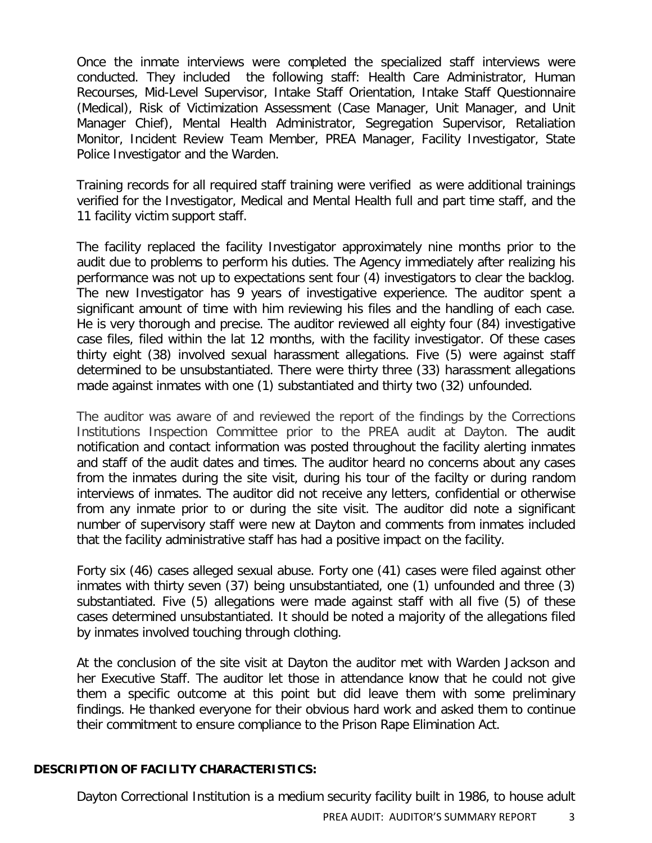Once the inmate interviews were completed the specialized staff interviews were conducted. They included the following staff: Health Care Administrator, Human Recourses, Mid-Level Supervisor, Intake Staff Orientation, Intake Staff Questionnaire (Medical), Risk of Victimization Assessment (Case Manager, Unit Manager, and Unit Manager Chief), Mental Health Administrator, Segregation Supervisor, Retaliation Monitor, Incident Review Team Member, PREA Manager, Facility Investigator, State Police Investigator and the Warden.

Training records for all required staff training were verified as were additional trainings verified for the Investigator, Medical and Mental Health full and part time staff, and the 11 facility victim support staff.

The facility replaced the facility Investigator approximately nine months prior to the audit due to problems to perform his duties. The Agency immediately after realizing his performance was not up to expectations sent four (4) investigators to clear the backlog. The new Investigator has 9 years of investigative experience. The auditor spent a significant amount of time with him reviewing his files and the handling of each case. He is very thorough and precise. The auditor reviewed all eighty four (84) investigative case files, filed within the lat 12 months, with the facility investigator. Of these cases thirty eight (38) involved sexual harassment allegations. Five (5) were against staff determined to be unsubstantiated. There were thirty three (33) harassment allegations made against inmates with one (1) substantiated and thirty two (32) unfounded.

The auditor was aware of and reviewed the report of the findings by the Corrections Institutions Inspection Committee prior to the PREA audit at Dayton. The audit notification and contact information was posted throughout the facility alerting inmates and staff of the audit dates and times. The auditor heard no concerns about any cases from the inmates during the site visit, during his tour of the facilty or during random interviews of inmates. The auditor did not receive any letters, confidential or otherwise from any inmate prior to or during the site visit. The auditor did note a significant number of supervisory staff were new at Dayton and comments from inmates included that the facility administrative staff has had a positive impact on the facility.

Forty six (46) cases alleged sexual abuse. Forty one (41) cases were filed against other inmates with thirty seven (37) being unsubstantiated, one (1) unfounded and three (3) substantiated. Five (5) allegations were made against staff with all five (5) of these cases determined unsubstantiated. It should be noted a majority of the allegations filed by inmates involved touching through clothing.

At the conclusion of the site visit at Dayton the auditor met with Warden Jackson and her Executive Staff. The auditor let those in attendance know that he could not give them a specific outcome at this point but did leave them with some preliminary findings. He thanked everyone for their obvious hard work and asked them to continue their commitment to ensure compliance to the Prison Rape Elimination Act.

#### **DESCRIPTION OF FACILITY CHARACTERISTICS:**

Dayton Correctional Institution is a medium security facility built in 1986, to house adult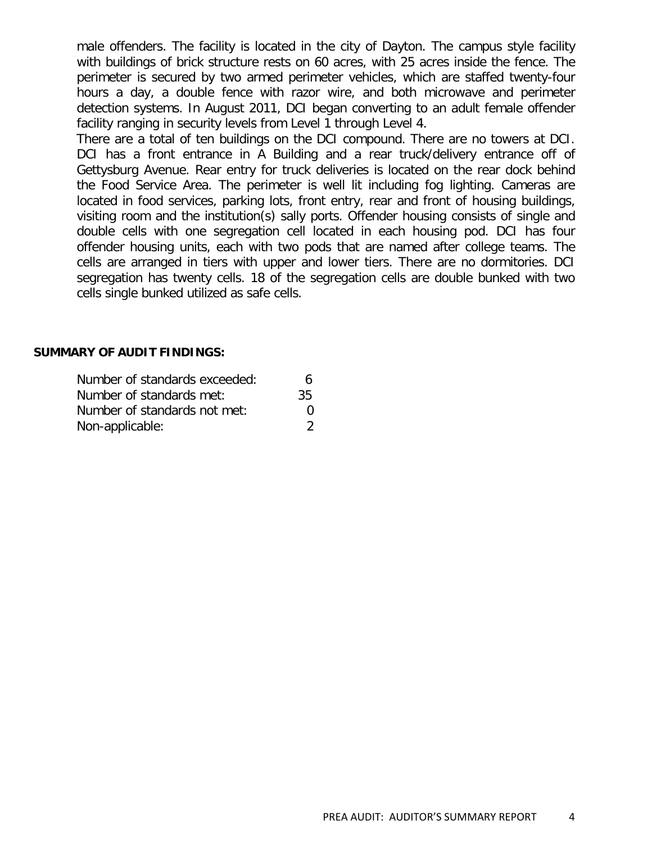male offenders. The facility is located in the city of Dayton. The campus style facility with buildings of brick structure rests on 60 acres, with 25 acres inside the fence. The perimeter is secured by two armed perimeter vehicles, which are staffed twenty-four hours a day, a double fence with razor wire, and both microwave and perimeter detection systems. In August 2011, DCI began converting to an adult female offender facility ranging in security levels from Level 1 through Level 4.

There are a total of ten buildings on the DCI compound. There are no towers at DCI. DCI has a front entrance in A Building and a rear truck/delivery entrance off of Gettysburg Avenue. Rear entry for truck deliveries is located on the rear dock behind the Food Service Area. The perimeter is well lit including fog lighting. Cameras are located in food services, parking lots, front entry, rear and front of housing buildings, visiting room and the institution(s) sally ports. Offender housing consists of single and double cells with one segregation cell located in each housing pod. DCI has four offender housing units, each with two pods that are named after college teams. The cells are arranged in tiers with upper and lower tiers. There are no dormitories. DCI segregation has twenty cells. 18 of the segregation cells are double bunked with two cells single bunked utilized as safe cells.

#### **SUMMARY OF AUDIT FINDINGS:**

| Number of standards exceeded: | 6                 |  |
|-------------------------------|-------------------|--|
| Number of standards met:      | 35                |  |
| Number of standards not met:  | $\mathbf{\Omega}$ |  |
| Non-applicable:               |                   |  |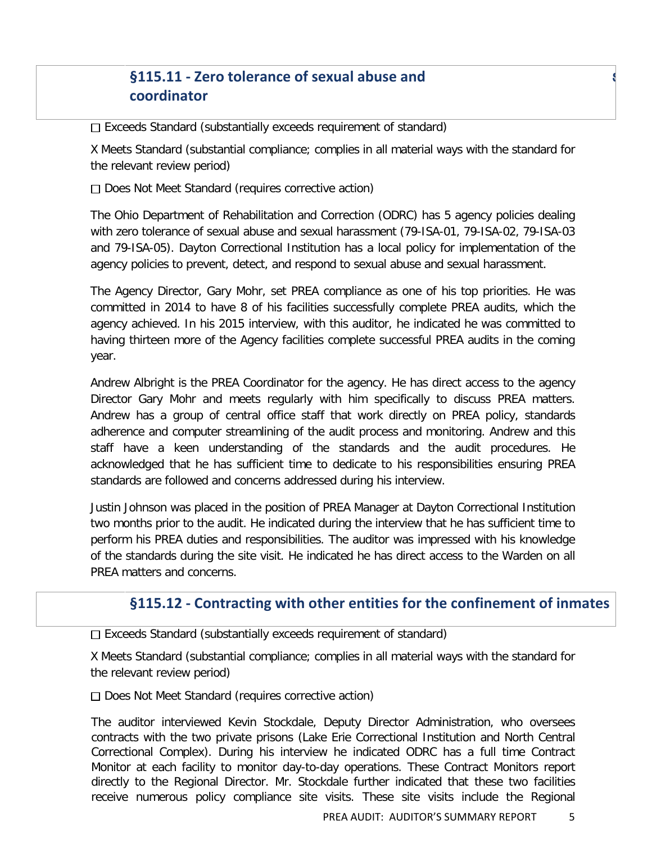# **§115.11 - Zero tolerance of sexual abuse and** s **coordinator**

 $\Box$  Exceeds Standard (substantially exceeds requirement of standard)

X Meets Standard (substantial compliance; complies in all material ways with the standard for the relevant review period)

 $\Box$  Does Not Meet Standard (requires corrective action)

The Ohio Department of Rehabilitation and Correction (ODRC) has 5 agency policies dealing with zero tolerance of sexual abuse and sexual harassment (79-ISA-01, 79-ISA-02, 79-ISA-03 and 79-ISA-05). Dayton Correctional Institution has a local policy for implementation of the agency policies to prevent, detect, and respond to sexual abuse and sexual harassment.

The Agency Director, Gary Mohr, set PREA compliance as one of his top priorities. He was committed in 2014 to have 8 of his facilities successfully complete PREA audits, which the agency achieved. In his 2015 interview, with this auditor, he indicated he was committed to having thirteen more of the Agency facilities complete successful PREA audits in the coming year.

Andrew Albright is the PREA Coordinator for the agency. He has direct access to the agency Director Gary Mohr and meets regularly with him specifically to discuss PREA matters. Andrew has a group of central office staff that work directly on PREA policy, standards adherence and computer streamlining of the audit process and monitoring. Andrew and this staff have a keen understanding of the standards and the audit procedures. He acknowledged that he has sufficient time to dedicate to his responsibilities ensuring PREA standards are followed and concerns addressed during his interview.

Justin Johnson was placed in the position of PREA Manager at Dayton Correctional Institution two months prior to the audit. He indicated during the interview that he has sufficient time to perform his PREA duties and responsibilities. The auditor was impressed with his knowledge of the standards during the site visit. He indicated he has direct access to the Warden on all PREA matters and concerns.

## **§115.12 - Contracting with other entities for the confinement of inmates**

 $\Box$  Exceeds Standard (substantially exceeds requirement of standard)

X Meets Standard (substantial compliance; complies in all material ways with the standard for the relevant review period)

Does Not Meet Standard (requires corrective action)

The auditor interviewed Kevin Stockdale, Deputy Director Administration, who oversees contracts with the two private prisons (Lake Erie Correctional Institution and North Central Correctional Complex). During his interview he indicated ODRC has a full time Contract Monitor at each facility to monitor day-to-day operations. These Contract Monitors report directly to the Regional Director. Mr. Stockdale further indicated that these two facilities receive numerous policy compliance site visits. These site visits include the Regional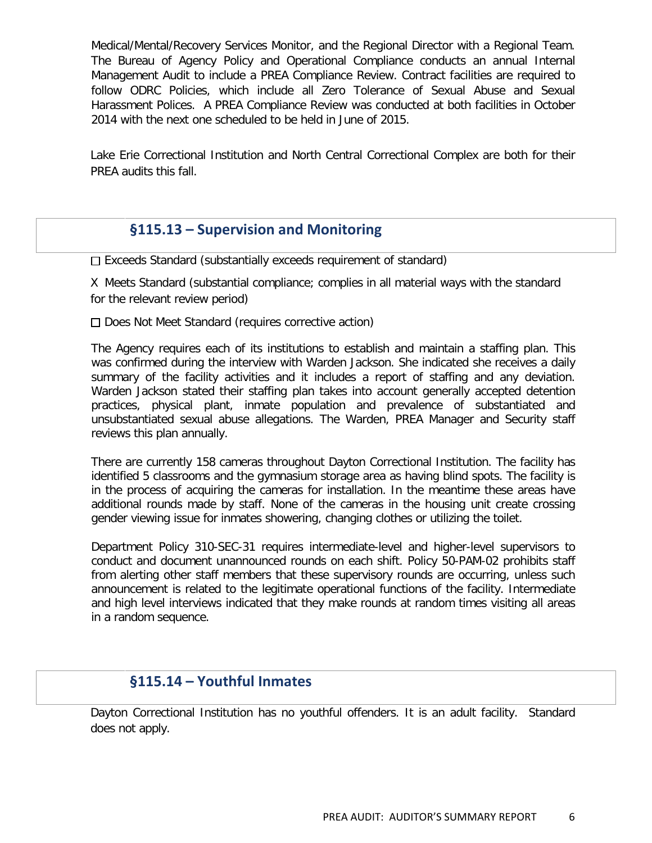Medical/Mental/Recovery Services Monitor, and the Regional Director with a Regional Team. The Bureau of Agency Policy and Operational Compliance conducts an annual Internal Management Audit to include a PREA Compliance Review. Contract facilities are required to follow ODRC Policies, which include all Zero Tolerance of Sexual Abuse and Sexual Harassment Polices. A PREA Compliance Review was conducted at both facilities in October 2014 with the next one scheduled to be held in June of 2015.

Lake Erie Correctional Institution and North Central Correctional Complex are both for their PREA audits this fall.

#### **§115.13 – Supervision and Monitoring**

 $\Box$  Exceeds Standard (substantially exceeds requirement of standard)

X Meets Standard (substantial compliance; complies in all material ways with the standard for the relevant review period)

 $\Box$  Does Not Meet Standard (requires corrective action)

The Agency requires each of its institutions to establish and maintain a staffing plan. This was confirmed during the interview with Warden Jackson. She indicated she receives a daily summary of the facility activities and it includes a report of staffing and any deviation. Warden Jackson stated their staffing plan takes into account generally accepted detention practices, physical plant, inmate population and prevalence of substantiated and unsubstantiated sexual abuse allegations. The Warden, PREA Manager and Security staff reviews this plan annually.

There are currently 158 cameras throughout Dayton Correctional Institution. The facility has identified 5 classrooms and the gymnasium storage area as having blind spots. The facility is in the process of acquiring the cameras for installation. In the meantime these areas have additional rounds made by staff. None of the cameras in the housing unit create crossing gender viewing issue for inmates showering, changing clothes or utilizing the toilet.

Department Policy 310-SEC-31 requires intermediate-level and higher-level supervisors to conduct and document unannounced rounds on each shift. Policy 50-PAM-02 prohibits staff from alerting other staff members that these supervisory rounds are occurring, unless such announcement is related to the legitimate operational functions of the facility. Intermediate and high level interviews indicated that they make rounds at random times visiting all areas in a random sequence.

## **§115.14 – Youthful Inmates**

Dayton Correctional Institution has no youthful offenders. It is an adult facility. Standard does not apply.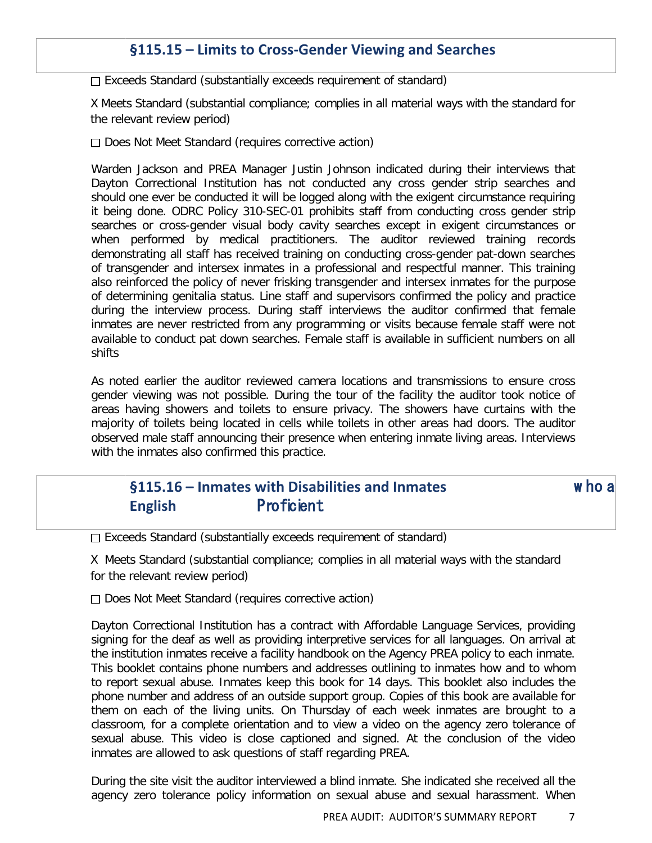#### **§115.15 – Limits to Cross-Gender Viewing and Searches**

 $\Box$  Exceeds Standard (substantially exceeds requirement of standard)

X Meets Standard (substantial compliance; complies in all material ways with the standard for the relevant review period)

 $\Box$  Does Not Meet Standard (requires corrective action)

Warden Jackson and PREA Manager Justin Johnson indicated during their interviews that Dayton Correctional Institution has not conducted any cross gender strip searches and should one ever be conducted it will be logged along with the exigent circumstance requiring it being done. ODRC Policy 310-SEC-01 prohibits staff from conducting cross gender strip searches or cross-gender visual body cavity searches except in exigent circumstances or when performed by medical practitioners. The auditor reviewed training records demonstrating all staff has received training on conducting cross-gender pat-down searches of transgender and intersex inmates in a professional and respectful manner. This training also reinforced the policy of never frisking transgender and intersex inmates for the purpose of determining genitalia status. Line staff and supervisors confirmed the policy and practice during the interview process. During staff interviews the auditor confirmed that female inmates are never restricted from any programming or visits because female staff were not available to conduct pat down searches. Female staff is available in sufficient numbers on all shifts

As noted earlier the auditor reviewed camera locations and transmissions to ensure cross gender viewing was not possible. During the tour of the facility the auditor took notice of areas having showers and toilets to ensure privacy. The showers have curtains with the majority of toilets being located in cells while toilets in other areas had doors. The auditor observed male staff announcing their presence when entering inmate living areas. Interviews with the inmates also confirmed this practice.

#### **§115.16 – Inmates with Disabilities and Inmates** w ho a **English** Proficient

 $\Box$  Exceeds Standard (substantially exceeds requirement of standard)

X Meets Standard (substantial compliance; complies in all material ways with the standard for the relevant review period)

 $\Box$  Does Not Meet Standard (requires corrective action)

Dayton Correctional Institution has a contract with Affordable Language Services, providing signing for the deaf as well as providing interpretive services for all languages. On arrival at the institution inmates receive a facility handbook on the Agency PREA policy to each inmate. This booklet contains phone numbers and addresses outlining to inmates how and to whom to report sexual abuse. Inmates keep this book for 14 days. This booklet also includes the phone number and address of an outside support group. Copies of this book are available for them on each of the living units. On Thursday of each week inmates are brought to a classroom, for a complete orientation and to view a video on the agency zero tolerance of sexual abuse. This video is close captioned and signed. At the conclusion of the video inmates are allowed to ask questions of staff regarding PREA.

During the site visit the auditor interviewed a blind inmate. She indicated she received all the agency zero tolerance policy information on sexual abuse and sexual harassment. When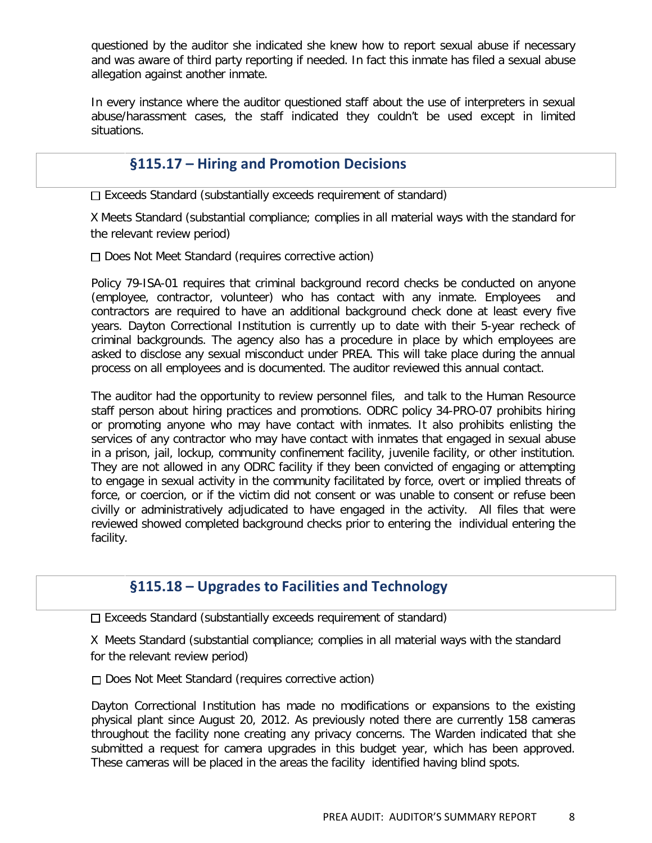questioned by the auditor she indicated she knew how to report sexual abuse if necessary and was aware of third party reporting if needed. In fact this inmate has filed a sexual abuse allegation against another inmate.

In every instance where the auditor questioned staff about the use of interpreters in sexual abuse/harassment cases, the staff indicated they couldn't be used except in limited situations.

#### **§115.17 – Hiring and Promotion Decisions**

 $\Box$  Exceeds Standard (substantially exceeds requirement of standard)

X Meets Standard (substantial compliance; complies in all material ways with the standard for the relevant review period)

□ Does Not Meet Standard (requires corrective action)

Policy 79-ISA-01 requires that criminal background record checks be conducted on anyone (employee, contractor, volunteer) who has contact with any inmate. Employees and contractors are required to have an additional background check done at least every five years. Dayton Correctional Institution is currently up to date with their 5-year recheck of criminal backgrounds. The agency also has a procedure in place by which employees are asked to disclose any sexual misconduct under PREA. This will take place during the annual process on all employees and is documented. The auditor reviewed this annual contact.

The auditor had the opportunity to review personnel files, and talk to the Human Resource staff person about hiring practices and promotions. ODRC policy 34-PRO-07 prohibits hiring or promoting anyone who may have contact with inmates. It also prohibits enlisting the services of any contractor who may have contact with inmates that engaged in sexual abuse in a prison, jail, lockup, community confinement facility, juvenile facility, or other institution. They are not allowed in any ODRC facility if they been convicted of engaging or attempting to engage in sexual activity in the community facilitated by force, overt or implied threats of force, or coercion, or if the victim did not consent or was unable to consent or refuse been civilly or administratively adjudicated to have engaged in the activity. All files that were reviewed showed completed background checks prior to entering the individual entering the facility.

#### **§115.18 – Upgrades to Facilities and Technology**

 $\Box$  Exceeds Standard (substantially exceeds requirement of standard)

X Meets Standard (substantial compliance; complies in all material ways with the standard for the relevant review period)

□ Does Not Meet Standard (requires corrective action)

Dayton Correctional Institution has made no modifications or expansions to the existing physical plant since August 20, 2012. As previously noted there are currently 158 cameras throughout the facility none creating any privacy concerns. The Warden indicated that she submitted a request for camera upgrades in this budget year, which has been approved. These cameras will be placed in the areas the facility identified having blind spots.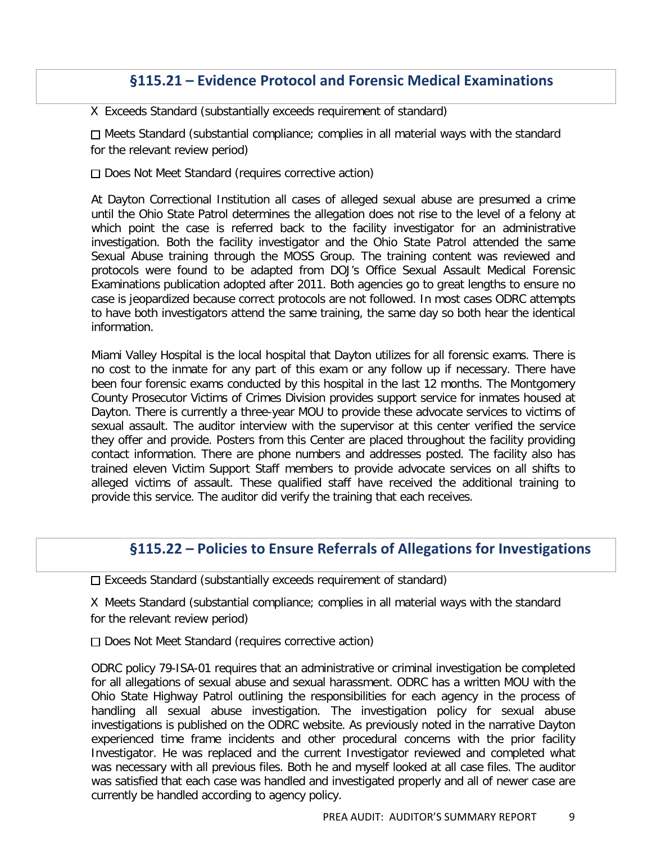#### **§115.21 – Evidence Protocol and Forensic Medical Examinations**

X Exceeds Standard (substantially exceeds requirement of standard)

□ Meets Standard (substantial compliance; complies in all material ways with the standard for the relevant review period)

 $\Box$  Does Not Meet Standard (requires corrective action)

At Dayton Correctional Institution all cases of alleged sexual abuse are presumed a crime until the Ohio State Patrol determines the allegation does not rise to the level of a felony at which point the case is referred back to the facility investigator for an administrative investigation. Both the facility investigator and the Ohio State Patrol attended the same Sexual Abuse training through the MOSS Group. The training content was reviewed and protocols were found to be adapted from DOJ's Office Sexual Assault Medical Forensic Examinations publication adopted after 2011. Both agencies go to great lengths to ensure no case is jeopardized because correct protocols are not followed. In most cases ODRC attempts to have both investigators attend the same training, the same day so both hear the identical information.

Miami Valley Hospital is the local hospital that Dayton utilizes for all forensic exams. There is no cost to the inmate for any part of this exam or any follow up if necessary. There have been four forensic exams conducted by this hospital in the last 12 months. The Montgomery County Prosecutor Victims of Crimes Division provides support service for inmates housed at Dayton. There is currently a three-year MOU to provide these advocate services to victims of sexual assault. The auditor interview with the supervisor at this center verified the service they offer and provide. Posters from this Center are placed throughout the facility providing contact information. There are phone numbers and addresses posted. The facility also has trained eleven Victim Support Staff members to provide advocate services on all shifts to alleged victims of assault. These qualified staff have received the additional training to provide this service. The auditor did verify the training that each receives.

#### **§115.22 – Policies to Ensure Referrals of Allegations for Investigations**

 $\square$  Exceeds Standard (substantially exceeds requirement of standard)

X Meets Standard (substantial compliance; complies in all material ways with the standard for the relevant review period)

Does Not Meet Standard (requires corrective action)

ODRC policy 79-ISA-01 requires that an administrative or criminal investigation be completed for all allegations of sexual abuse and sexual harassment. ODRC has a written MOU with the Ohio State Highway Patrol outlining the responsibilities for each agency in the process of handling all sexual abuse investigation. The investigation policy for sexual abuse investigations is published on the ODRC website. As previously noted in the narrative Dayton experienced time frame incidents and other procedural concerns with the prior facility Investigator. He was replaced and the current Investigator reviewed and completed what was necessary with all previous files. Both he and myself looked at all case files. The auditor was satisfied that each case was handled and investigated properly and all of newer case are currently be handled according to agency policy.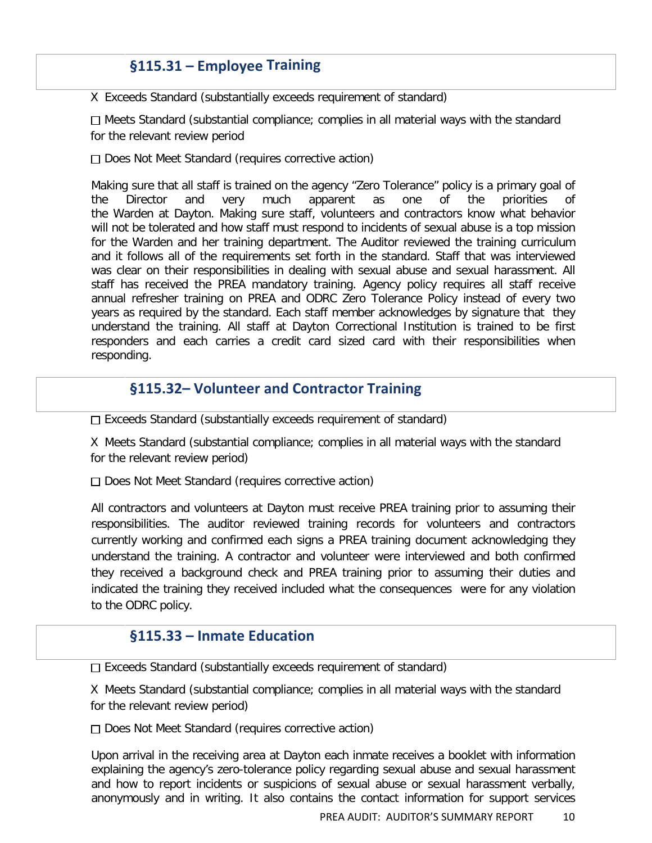## **§115.31 – Employee Training**

X Exceeds Standard (substantially exceeds requirement of standard)

 $\Box$  Meets Standard (substantial compliance; complies in all material ways with the standard for the relevant review period

 $\Box$  Does Not Meet Standard (requires corrective action)

Making sure that all staff is trained on the agency "Zero Tolerance" policy is a primary goal of the Director and very much apparent as one of the priorities the Warden at Dayton. Making sure staff, volunteers and contractors know what behavior will not be tolerated and how staff must respond to incidents of sexual abuse is a top mission for the Warden and her training department. The Auditor reviewed the training curriculum and it follows all of the requirements set forth in the standard. Staff that was interviewed was clear on their responsibilities in dealing with sexual abuse and sexual harassment. All staff has received the PREA mandatory training. Agency policy requires all staff receive annual refresher training on PREA and ODRC Zero Tolerance Policy instead of every two years as required by the standard. Each staff member acknowledges by signature that they understand the training. All staff at Dayton Correctional Institution is trained to be first responders and each carries a credit card sized card with their responsibilities when responding.

#### **§115.32– Volunteer and Contractor Training**

□ Exceeds Standard (substantially exceeds requirement of standard)

X Meets Standard (substantial compliance; complies in all material ways with the standard for the relevant review period)

 $\Box$  Does Not Meet Standard (requires corrective action)

All contractors and volunteers at Dayton must receive PREA training prior to assuming their responsibilities. The auditor reviewed training records for volunteers and contractors currently working and confirmed each signs a PREA training document acknowledging they understand the training. A contractor and volunteer were interviewed and both confirmed they received a background check and PREA training prior to assuming their duties and indicated the training they received included what the consequences were for any violation to the ODRC policy.

#### **§115.33 – Inmate Education**

Exceeds Standard (substantially exceeds requirement of standard)

X Meets Standard (substantial compliance; complies in all material ways with the standard for the relevant review period)

 $\Box$  Does Not Meet Standard (requires corrective action)

Upon arrival in the receiving area at Dayton each inmate receives a booklet with information explaining the agency's zero-tolerance policy regarding sexual abuse and sexual harassment and how to report incidents or suspicions of sexual abuse or sexual harassment verbally, anonymously and in writing. It also contains the contact information for support services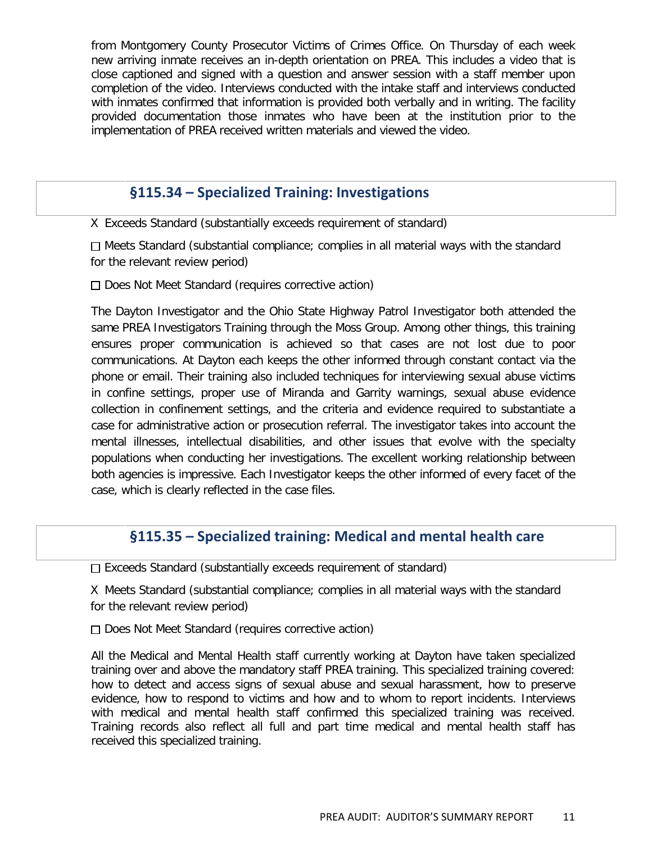from Montgomery County Prosecutor Victims of Crimes Office. On Thursday of each week new arriving inmate receives an in-depth orientation on PREA. This includes a video that is close captioned and signed with a question and answer session with a staff member upon completion of the video. Interviews conducted with the intake staff and interviews conducted with inmates confirmed that information is provided both verbally and in writing. The facility provided documentation those inmates who have been at the institution prior to the implementation of PREA received written materials and viewed the video.

#### **§115.34 – Specialized Training: Investigations**

X Exceeds Standard (substantially exceeds requirement of standard)

 $\Box$  Meets Standard (substantial compliance; complies in all material ways with the standard for the relevant review period)

Does Not Meet Standard (requires corrective action)

The Dayton Investigator and the Ohio State Highway Patrol Investigator both attended the same PREA Investigators Training through the Moss Group. Among other things, this training ensures proper communication is achieved so that cases are not lost due to poor communications. At Dayton each keeps the other informed through constant contact via the phone or email. Their training also included techniques for interviewing sexual abuse victims in confine settings, proper use of Miranda and Garrity warnings, sexual abuse evidence collection in confinement settings, and the criteria and evidence required to substantiate a case for administrative action or prosecution referral. The investigator takes into account the mental illnesses, intellectual disabilities, and other issues that evolve with the specialty populations when conducting her investigations. The excellent working relationship between both agencies is impressive. Each Investigator keeps the other informed of every facet of the case, which is clearly reflected in the case files.

#### **§115.35 – Specialized training: Medical and mental health care**

 $\square$  Exceeds Standard (substantially exceeds requirement of standard)

X Meets Standard (substantial compliance; complies in all material ways with the standard for the relevant review period)

 $\Box$  Does Not Meet Standard (requires corrective action)

All the Medical and Mental Health staff currently working at Dayton have taken specialized training over and above the mandatory staff PREA training. This specialized training covered: how to detect and access signs of sexual abuse and sexual harassment, how to preserve evidence, how to respond to victims and how and to whom to report incidents. Interviews with medical and mental health staff confirmed this specialized training was received. Training records also reflect all full and part time medical and mental health staff has received this specialized training.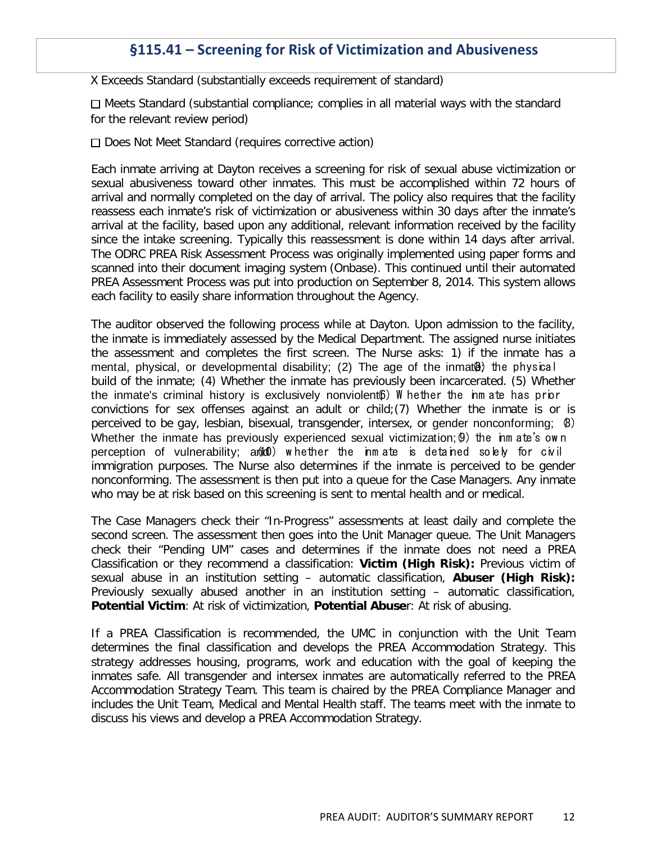#### **§115.41 – Screening for Risk of Victimization and Abusiveness**

X Exceeds Standard (substantially exceeds requirement of standard)

 $\Box$  Meets Standard (substantial compliance; complies in all material ways with the standard for the relevant review period)

 $\Box$  Does Not Meet Standard (requires corrective action)

Each inmate arriving at Dayton receives a screening for risk of sexual abuse victimization or sexual abusiveness toward other inmates. This must be accomplished within 72 hours of arrival and normally completed on the day of arrival. The policy also requires that the facility reassess each inmate's risk of victimization or abusiveness within 30 days after the inmate's arrival at the facility, based upon any additional, relevant information received by the facility since the intake screening. Typically this reassessment is done within 14 days after arrival. The ODRC PREA Risk Assessment Process was originally implemented using paper forms and scanned into their document imaging system (Onbase). This continued until their automated PREA Assessment Process was put into production on September 8, 2014. This system allows each facility to easily share information throughout the Agency.

The auditor observed the following process while at Dayton. Upon admission to the facility, the inmate is immediately assessed by the Medical Department. The assigned nurse initiates the assessment and completes the first screen. The Nurse asks: 1) if the inmate has a mental, physical, or developmental disability; (2) The age of the inmat $\theta$  the physical build of the inmate; (4) Whether the inmate has previously been incarcerated. (5) Whether the inmate's criminal history is exclusively nonviolent $6$ ) W hether the inm ate has prior convictions for sex offenses against an adult or child;(7) Whether the inmate is or is perceived to be gay, lesbian, bisexual, transgender, intersex, or gender nonconforming; (8) Whether the inmate has previously experienced sexual victimization; 9) the inm ate's own perception of vulnerability; and (10) w hether the inm ate is detained solely for civil immigration purposes. The Nurse also determines if the inmate is perceived to be gender nonconforming. The assessment is then put into a queue for the Case Managers. Any inmate who may be at risk based on this screening is sent to mental health and or medical.

The Case Managers check their "In-Progress" assessments at least daily and complete the second screen. The assessment then goes into the Unit Manager queue. The Unit Managers check their "Pending UM" cases and determines if the inmate does not need a PREA Classification or they recommend a classification: **Victim (High Risk):** Previous victim of sexual abuse in an institution setting – automatic classification, **Abuser (High Risk):** Previously sexually abused another in an institution setting – automatic classification, **Potential Victim**: At risk of victimization, **Potential Abuse**r: At risk of abusing.

If a PREA Classification is recommended, the UMC in conjunction with the Unit Team determines the final classification and develops the PREA Accommodation Strategy. This strategy addresses housing, programs, work and education with the goal of keeping the inmates safe. All transgender and intersex inmates are automatically referred to the PREA Accommodation Strategy Team. This team is chaired by the PREA Compliance Manager and includes the Unit Team, Medical and Mental Health staff. The teams meet with the inmate to discuss his views and develop a PREA Accommodation Strategy.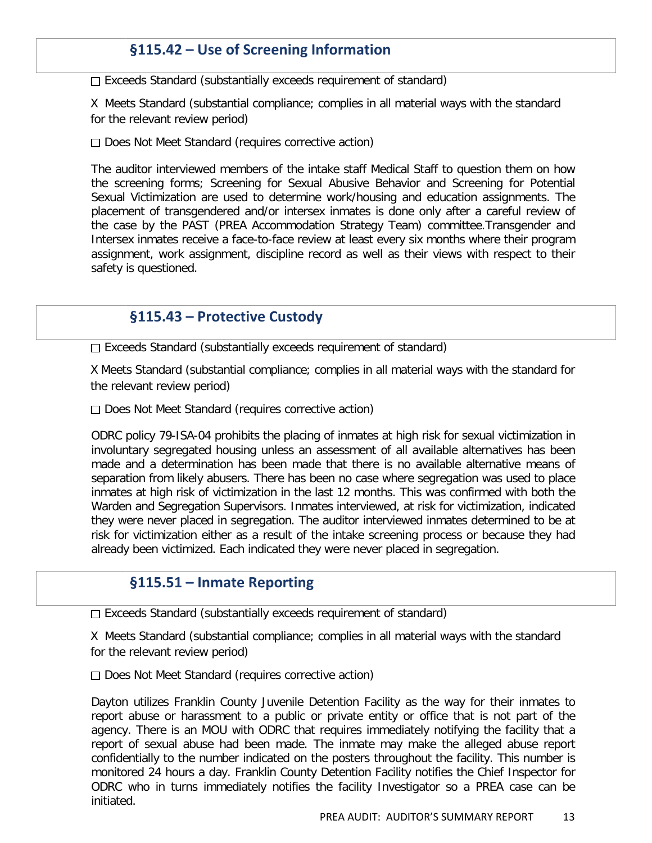## **§115.42 – Use of Screening Information**

 $\Box$  Exceeds Standard (substantially exceeds requirement of standard)

X Meets Standard (substantial compliance; complies in all material ways with the standard for the relevant review period)

 $\Box$  Does Not Meet Standard (requires corrective action)

The auditor interviewed members of the intake staff Medical Staff to question them on how the screening forms; Screening for Sexual Abusive Behavior and Screening for Potential Sexual Victimization are used to determine work/housing and education assignments. The placement of transgendered and/or intersex inmates is done only after a careful review of the case by the PAST (PREA Accommodation Strategy Team) committee.Transgender and Intersex inmates receive a face-to-face review at least every six months where their program assignment, work assignment, discipline record as well as their views with respect to their safety is questioned.

#### **§115.43 – Protective Custody**

 $\Box$  Exceeds Standard (substantially exceeds requirement of standard)

X Meets Standard (substantial compliance; complies in all material ways with the standard for the relevant review period)

□ Does Not Meet Standard (requires corrective action)

ODRC policy 79-ISA-04 prohibits the placing of inmates at high risk for sexual victimization in involuntary segregated housing unless an assessment of all available alternatives has been made and a determination has been made that there is no available alternative means of separation from likely abusers. There has been no case where segregation was used to place inmates at high risk of victimization in the last 12 months. This was confirmed with both the Warden and Segregation Supervisors. Inmates interviewed, at risk for victimization, indicated they were never placed in segregation. The auditor interviewed inmates determined to be at risk for victimization either as a result of the intake screening process or because they had already been victimized. Each indicated they were never placed in segregation.

#### **§115.51 – Inmate Reporting**

□ Exceeds Standard (substantially exceeds requirement of standard)

X Meets Standard (substantial compliance; complies in all material ways with the standard for the relevant review period)

 $\Box$  Does Not Meet Standard (requires corrective action)

Dayton utilizes Franklin County Juvenile Detention Facility as the way for their inmates to report abuse or harassment to a public or private entity or office that is not part of the agency. There is an MOU with ODRC that requires immediately notifying the facility that a report of sexual abuse had been made. The inmate may make the alleged abuse report confidentially to the number indicated on the posters throughout the facility. This number is monitored 24 hours a day. Franklin County Detention Facility notifies the Chief Inspector for ODRC who in turns immediately notifies the facility Investigator so a PREA case can be initiated.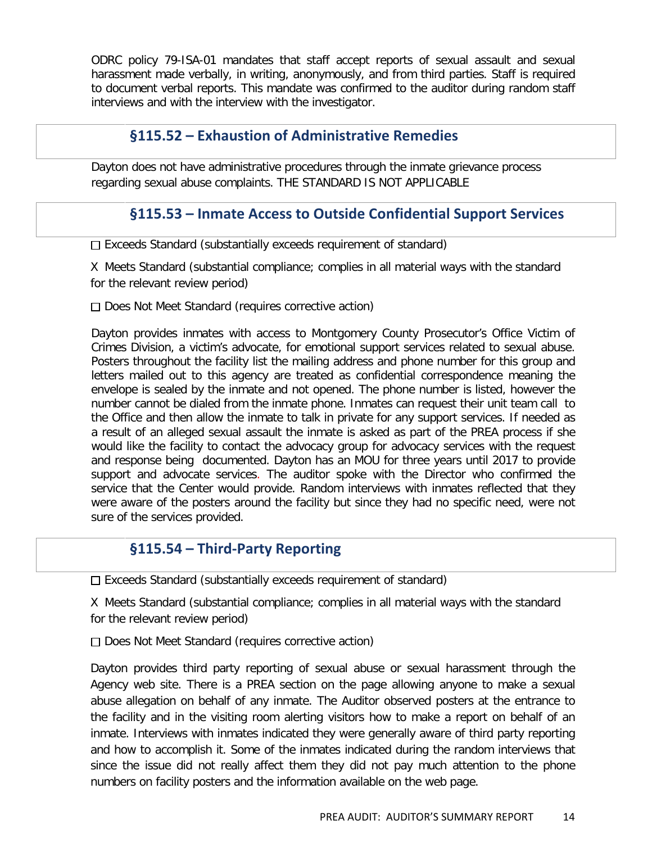ODRC policy 79-ISA-01 mandates that staff accept reports of sexual assault and sexual harassment made verbally, in writing, anonymously, and from third parties. Staff is required to document verbal reports. This mandate was confirmed to the auditor during random staff interviews and with the interview with the investigator.

#### **§115.52 – Exhaustion of Administrative Remedies**

Dayton does not have administrative procedures through the inmate grievance process regarding sexual abuse complaints. THE STANDARD IS NOT APPLICABLE

#### **§115.53 – Inmate Access to Outside Confidential Support Services**

□ Exceeds Standard (substantially exceeds requirement of standard)

X Meets Standard (substantial compliance; complies in all material ways with the standard for the relevant review period)

 $\Box$  Does Not Meet Standard (requires corrective action)

Dayton provides inmates with access to Montgomery County Prosecutor's Office Victim of Crimes Division, a victim's advocate, for emotional support services related to sexual abuse. Posters throughout the facility list the mailing address and phone number for this group and letters mailed out to this agency are treated as confidential correspondence meaning the envelope is sealed by the inmate and not opened. The phone number is listed, however the number cannot be dialed from the inmate phone. Inmates can request their unit team call to the Office and then allow the inmate to talk in private for any support services. If needed as a result of an alleged sexual assault the inmate is asked as part of the PREA process if she would like the facility to contact the advocacy group for advocacy services with the request and response being documented. Dayton has an MOU for three years until 2017 to provide support and advocate services. The auditor spoke with the Director who confirmed the service that the Center would provide. Random interviews with inmates reflected that they were aware of the posters around the facility but since they had no specific need, were not sure of the services provided.

#### **§115.54 – Third-Party Reporting**

 $\Box$  Exceeds Standard (substantially exceeds requirement of standard)

X Meets Standard (substantial compliance; complies in all material ways with the standard for the relevant review period)

 $\Box$  Does Not Meet Standard (requires corrective action)

Dayton provides third party reporting of sexual abuse or sexual harassment through the Agency web site. There is a PREA section on the page allowing anyone to make a sexual abuse allegation on behalf of any inmate. The Auditor observed posters at the entrance to the facility and in the visiting room alerting visitors how to make a report on behalf of an inmate. Interviews with inmates indicated they were generally aware of third party reporting and how to accomplish it. Some of the inmates indicated during the random interviews that since the issue did not really affect them they did not pay much attention to the phone numbers on facility posters and the information available on the web page.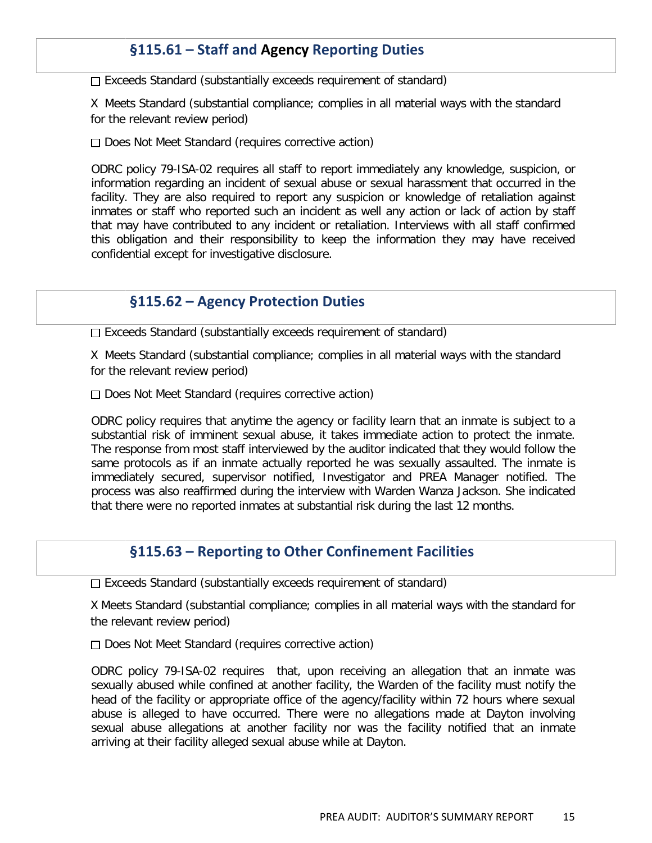## **§115.61 – Staff and Agency Reporting Duties**

 $\Box$  Exceeds Standard (substantially exceeds requirement of standard)

X Meets Standard (substantial compliance; complies in all material ways with the standard for the relevant review period)

 $\Box$  Does Not Meet Standard (requires corrective action)

ODRC policy 79-ISA-02 requires all staff to report immediately any knowledge, suspicion, or information regarding an incident of sexual abuse or sexual harassment that occurred in the facility. They are also required to report any suspicion or knowledge of retaliation against inmates or staff who reported such an incident as well any action or lack of action by staff that may have contributed to any incident or retaliation. Interviews with all staff confirmed this obligation and their responsibility to keep the information they may have received confidential except for investigative disclosure.

#### **§115.62 – Agency Protection Duties**

 $\Box$  Exceeds Standard (substantially exceeds requirement of standard)

X Meets Standard (substantial compliance; complies in all material ways with the standard for the relevant review period)

 $\Box$  Does Not Meet Standard (requires corrective action)

ODRC policy requires that anytime the agency or facility learn that an inmate is subject to a substantial risk of imminent sexual abuse, it takes immediate action to protect the inmate. The response from most staff interviewed by the auditor indicated that they would follow the same protocols as if an inmate actually reported he was sexually assaulted. The inmate is immediately secured, supervisor notified, Investigator and PREA Manager notified. The process was also reaffirmed during the interview with Warden Wanza Jackson. She indicated that there were no reported inmates at substantial risk during the last 12 months.

#### **§115.63 – Reporting to Other Confinement Facilities**

 $\Box$  Exceeds Standard (substantially exceeds requirement of standard)

X Meets Standard (substantial compliance; complies in all material ways with the standard for the relevant review period)

Does Not Meet Standard (requires corrective action)

ODRC policy 79-ISA-02 requires that, upon receiving an allegation that an inmate was sexually abused while confined at another facility, the Warden of the facility must notify the head of the facility or appropriate office of the agency/facility within 72 hours where sexual abuse is alleged to have occurred. There were no allegations made at Dayton involving sexual abuse allegations at another facility nor was the facility notified that an inmate arriving at their facility alleged sexual abuse while at Dayton.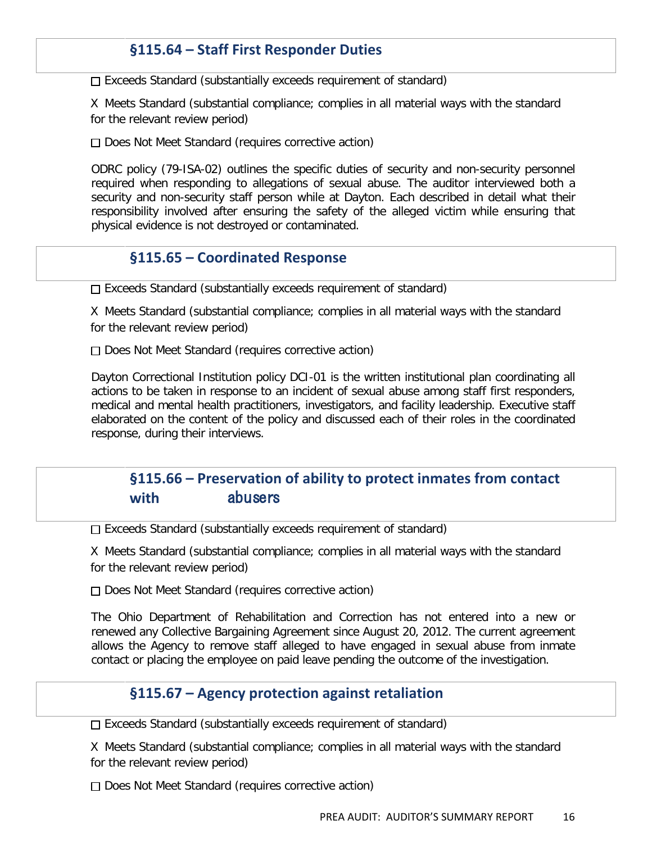#### **§115.64 – Staff First Responder Duties**

 $\Box$  Exceeds Standard (substantially exceeds requirement of standard)

X Meets Standard (substantial compliance; complies in all material ways with the standard for the relevant review period)

 $\Box$  Does Not Meet Standard (requires corrective action)

ODRC policy (79-ISA-02) outlines the specific duties of security and non-security personnel required when responding to allegations of sexual abuse. The auditor interviewed both a security and non-security staff person while at Dayton. Each described in detail what their responsibility involved after ensuring the safety of the alleged victim while ensuring that physical evidence is not destroyed or contaminated.

#### **§115.65 – Coordinated Response**

 $\Box$  Exceeds Standard (substantially exceeds requirement of standard)

X Meets Standard (substantial compliance; complies in all material ways with the standard for the relevant review period)

Does Not Meet Standard (requires corrective action)

Dayton Correctional Institution policy DCI-01 is the written institutional plan coordinating all actions to be taken in response to an incident of sexual abuse among staff first responders, medical and mental health practitioners, investigators, and facility leadership. Executive staff elaborated on the content of the policy and discussed each of their roles in the coordinated response, during their interviews.

#### **§115.66 – Preservation of ability to protect inmates from contact with** abusers

 $\Box$  Exceeds Standard (substantially exceeds requirement of standard)

X Meets Standard (substantial compliance; complies in all material ways with the standard for the relevant review period)

Does Not Meet Standard (requires corrective action)

The Ohio Department of Rehabilitation and Correction has not entered into a new or renewed any Collective Bargaining Agreement since August 20, 2012. The current agreement allows the Agency to remove staff alleged to have engaged in sexual abuse from inmate contact or placing the employee on paid leave pending the outcome of the investigation.

#### **§115.67 – Agency protection against retaliation**

 $\Box$  Exceeds Standard (substantially exceeds requirement of standard)

X Meets Standard (substantial compliance; complies in all material ways with the standard for the relevant review period)

 $\Box$  Does Not Meet Standard (requires corrective action)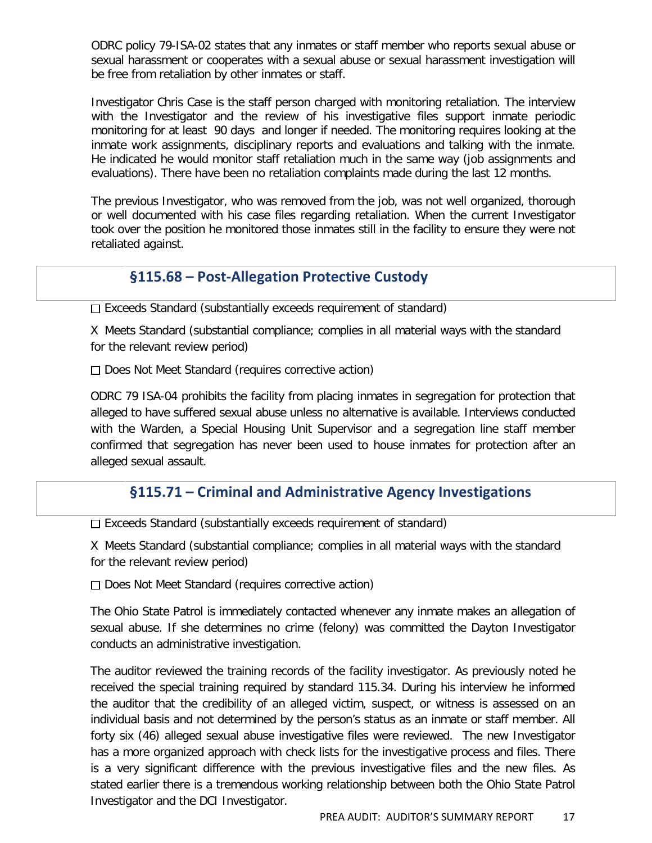ODRC policy 79-ISA-02 states that any inmates or staff member who reports sexual abuse or sexual harassment or cooperates with a sexual abuse or sexual harassment investigation will be free from retaliation by other inmates or staff.

Investigator Chris Case is the staff person charged with monitoring retaliation. The interview with the Investigator and the review of his investigative files support inmate periodic monitoring for at least 90 days and longer if needed. The monitoring requires looking at the inmate work assignments, disciplinary reports and evaluations and talking with the inmate. He indicated he would monitor staff retaliation much in the same way (job assignments and evaluations). There have been no retaliation complaints made during the last 12 months.

The previous Investigator, who was removed from the job, was not well organized, thorough or well documented with his case files regarding retaliation. When the current Investigator took over the position he monitored those inmates still in the facility to ensure they were not retaliated against.

#### **§115.68 – Post-Allegation Protective Custody**

 $\square$  Exceeds Standard (substantially exceeds requirement of standard)

X Meets Standard (substantial compliance; complies in all material ways with the standard for the relevant review period)

 $\Box$  Does Not Meet Standard (requires corrective action)

ODRC 79 ISA-04 prohibits the facility from placing inmates in segregation for protection that alleged to have suffered sexual abuse unless no alternative is available. Interviews conducted with the Warden, a Special Housing Unit Supervisor and a segregation line staff member confirmed that segregation has never been used to house inmates for protection after an alleged sexual assault.

#### **§115.71 – Criminal and Administrative Agency Investigations**

 $\Box$  Exceeds Standard (substantially exceeds requirement of standard)

X Meets Standard (substantial compliance; complies in all material ways with the standard for the relevant review period)

□ Does Not Meet Standard (requires corrective action)

The Ohio State Patrol is immediately contacted whenever any inmate makes an allegation of sexual abuse. If she determines no crime (felony) was committed the Dayton Investigator conducts an administrative investigation.

The auditor reviewed the training records of the facility investigator. As previously noted he received the special training required by standard 115.34. During his interview he informed the auditor that the credibility of an alleged victim, suspect, or witness is assessed on an individual basis and not determined by the person's status as an inmate or staff member. All forty six (46) alleged sexual abuse investigative files were reviewed. The new Investigator has a more organized approach with check lists for the investigative process and files. There is a very significant difference with the previous investigative files and the new files. As stated earlier there is a tremendous working relationship between both the Ohio State Patrol Investigator and the DCI Investigator.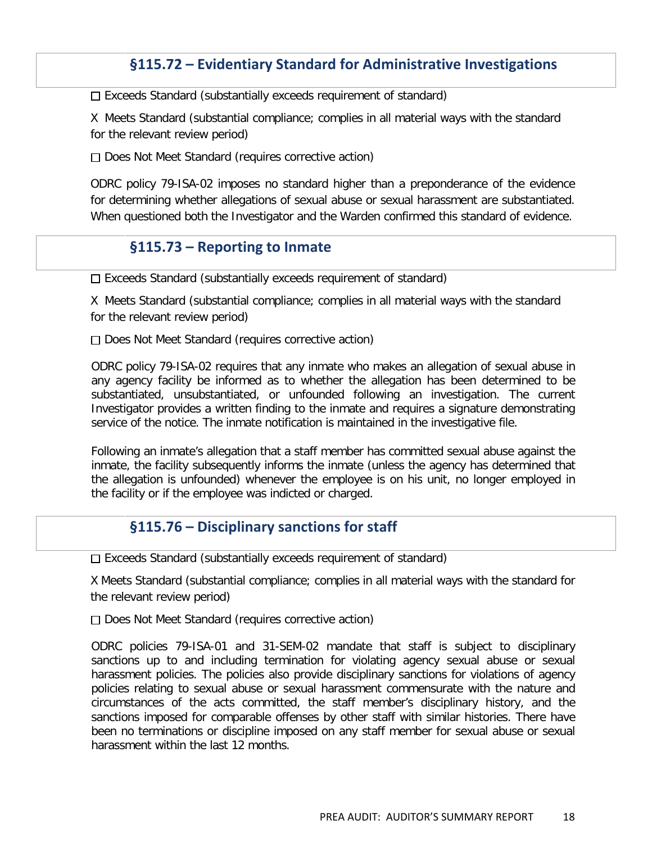#### **§115.72 – Evidentiary Standard for Administrative Investigations**

 $\Box$  Exceeds Standard (substantially exceeds requirement of standard)

X Meets Standard (substantial compliance; complies in all material ways with the standard for the relevant review period)

Does Not Meet Standard (requires corrective action)

ODRC policy 79-ISA-02 imposes no standard higher than a preponderance of the evidence for determining whether allegations of sexual abuse or sexual harassment are substantiated. When questioned both the Investigator and the Warden confirmed this standard of evidence.

#### **§115.73 – Reporting to Inmate**

 $\Box$  Exceeds Standard (substantially exceeds requirement of standard)

X Meets Standard (substantial compliance; complies in all material ways with the standard for the relevant review period)

Does Not Meet Standard (requires corrective action)

ODRC policy 79-ISA-02 requires that any inmate who makes an allegation of sexual abuse in any agency facility be informed as to whether the allegation has been determined to be substantiated, unsubstantiated, or unfounded following an investigation. The current Investigator provides a written finding to the inmate and requires a signature demonstrating service of the notice. The inmate notification is maintained in the investigative file.

Following an inmate's allegation that a staff member has committed sexual abuse against the inmate, the facility subsequently informs the inmate (unless the agency has determined that the allegation is unfounded) whenever the employee is on his unit, no longer employed in the facility or if the employee was indicted or charged.

#### **§115.76 – Disciplinary sanctions for staff**

 $\Box$  Exceeds Standard (substantially exceeds requirement of standard)

X Meets Standard (substantial compliance; complies in all material ways with the standard for the relevant review period)

 $\Box$  Does Not Meet Standard (requires corrective action)

ODRC policies 79-ISA-01 and 31-SEM-02 mandate that staff is subject to disciplinary sanctions up to and including termination for violating agency sexual abuse or sexual harassment policies. The policies also provide disciplinary sanctions for violations of agency policies relating to sexual abuse or sexual harassment commensurate with the nature and circumstances of the acts committed, the staff member's disciplinary history, and the sanctions imposed for comparable offenses by other staff with similar histories. There have been no terminations or discipline imposed on any staff member for sexual abuse or sexual harassment within the last 12 months.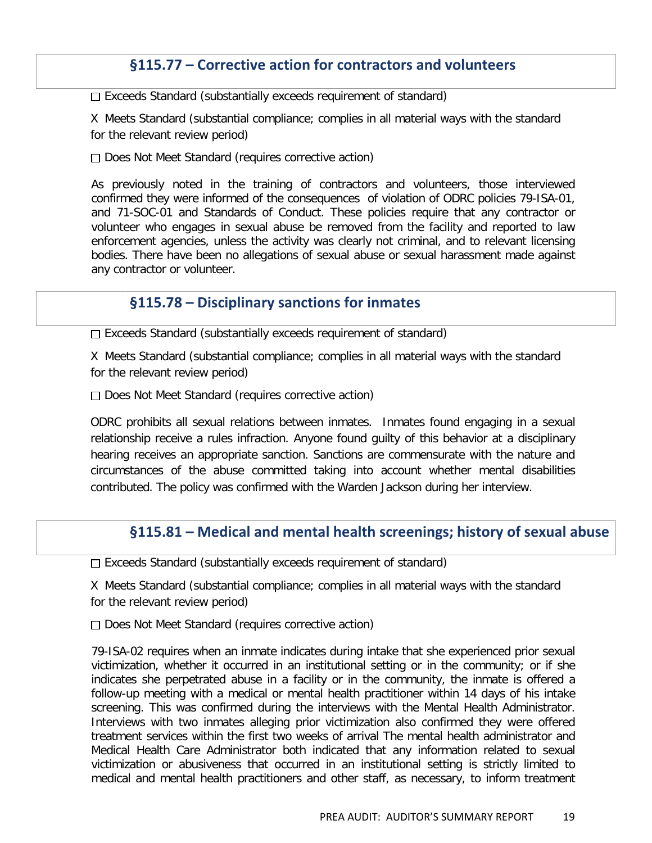#### **§115.77 – Corrective action for contractors and volunteers**

 $\Box$  Exceeds Standard (substantially exceeds requirement of standard)

X Meets Standard (substantial compliance; complies in all material ways with the standard for the relevant review period)

□ Does Not Meet Standard (requires corrective action)

As previously noted in the training of contractors and volunteers, those interviewed confirmed they were informed of the consequences of violation of ODRC policies 79-ISA-01, and 71-SOC-01 and Standards of Conduct. These policies require that any contractor or volunteer who engages in sexual abuse be removed from the facility and reported to law enforcement agencies, unless the activity was clearly not criminal, and to relevant licensing bodies. There have been no allegations of sexual abuse or sexual harassment made against any contractor or volunteer.

#### **§115.78 – Disciplinary sanctions for inmates**

Exceeds Standard (substantially exceeds requirement of standard)

X Meets Standard (substantial compliance; complies in all material ways with the standard for the relevant review period)

 $\Box$  Does Not Meet Standard (requires corrective action)

ODRC prohibits all sexual relations between inmates. Inmates found engaging in a sexual relationship receive a rules infraction. Anyone found guilty of this behavior at a disciplinary hearing receives an appropriate sanction. Sanctions are commensurate with the nature and circumstances of the abuse committed taking into account whether mental disabilities contributed. The policy was confirmed with the Warden Jackson during her interview.

#### **§115.81 – Medical and mental health screenings; history of sexual abuse**

 $\Box$  Exceeds Standard (substantially exceeds requirement of standard)

X Meets Standard (substantial compliance; complies in all material ways with the standard for the relevant review period)

 $\Box$  Does Not Meet Standard (requires corrective action)

79-ISA-02 requires when an inmate indicates during intake that she experienced prior sexual victimization, whether it occurred in an institutional setting or in the community; or if she indicates she perpetrated abuse in a facility or in the community, the inmate is offered a follow-up meeting with a medical or mental health practitioner within 14 days of his intake screening. This was confirmed during the interviews with the Mental Health Administrator. Interviews with two inmates alleging prior victimization also confirmed they were offered treatment services within the first two weeks of arrival The mental health administrator and Medical Health Care Administrator both indicated that any information related to sexual victimization or abusiveness that occurred in an institutional setting is strictly limited to medical and mental health practitioners and other staff, as necessary, to inform treatment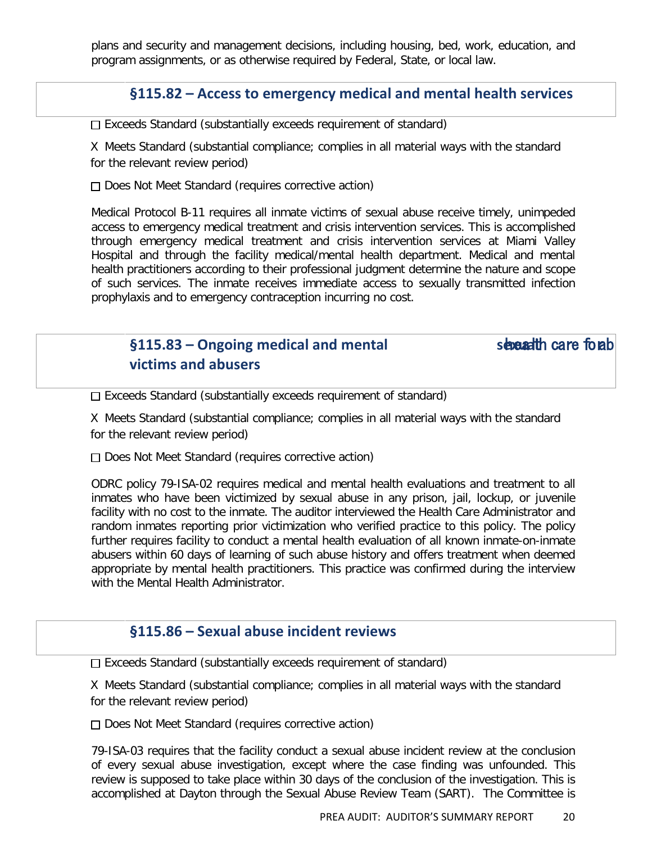plans and security and management decisions, including housing, bed, work, education, and program assignments, or as otherwise required by Federal, State, or local law.

#### **§115.82 – Access to emergency medical and mental health services**

 $\square$  Exceeds Standard (substantially exceeds requirement of standard)

X Meets Standard (substantial compliance; complies in all material ways with the standard for the relevant review period)

Does Not Meet Standard (requires corrective action)

Medical Protocol B-11 requires all inmate victims of sexual abuse receive timely, unimpeded access to emergency medical treatment and crisis intervention services. This is accomplished through emergency medical treatment and crisis intervention services at Miami Valley Hospital and through the facility medical/mental health department. Medical and mental health practitioners according to their professional judgment determine the nature and scope of such services. The inmate receives immediate access to sexually transmitted infection prophylaxis and to emergency contraception incurring no cost.

## **§115.83** – Ongoing medical and mental sexually care for sexual health care for a **victims and abusers**

 $\Box$  Exceeds Standard (substantially exceeds requirement of standard)

X Meets Standard (substantial compliance; complies in all material ways with the standard for the relevant review period)

 $\Box$  Does Not Meet Standard (requires corrective action)

ODRC policy 79-ISA-02 requires medical and mental health evaluations and treatment to all inmates who have been victimized by sexual abuse in any prison, jail, lockup, or juvenile facility with no cost to the inmate. The auditor interviewed the Health Care Administrator and random inmates reporting prior victimization who verified practice to this policy. The policy further requires facility to conduct a mental health evaluation of all known inmate-on-inmate abusers within 60 days of learning of such abuse history and offers treatment when deemed appropriate by mental health practitioners. This practice was confirmed during the interview with the Mental Health Administrator.

#### **§115.86 – Sexual abuse incident reviews**

 $\Box$  Exceeds Standard (substantially exceeds requirement of standard)

X Meets Standard (substantial compliance; complies in all material ways with the standard for the relevant review period)

 $\Box$  Does Not Meet Standard (requires corrective action)

79-ISA-03 requires that the facility conduct a sexual abuse incident review at the conclusion of every sexual abuse investigation, except where the case finding was unfounded. This review is supposed to take place within 30 days of the conclusion of the investigation. This is accomplished at Dayton through the Sexual Abuse Review Team (SART). The Committee is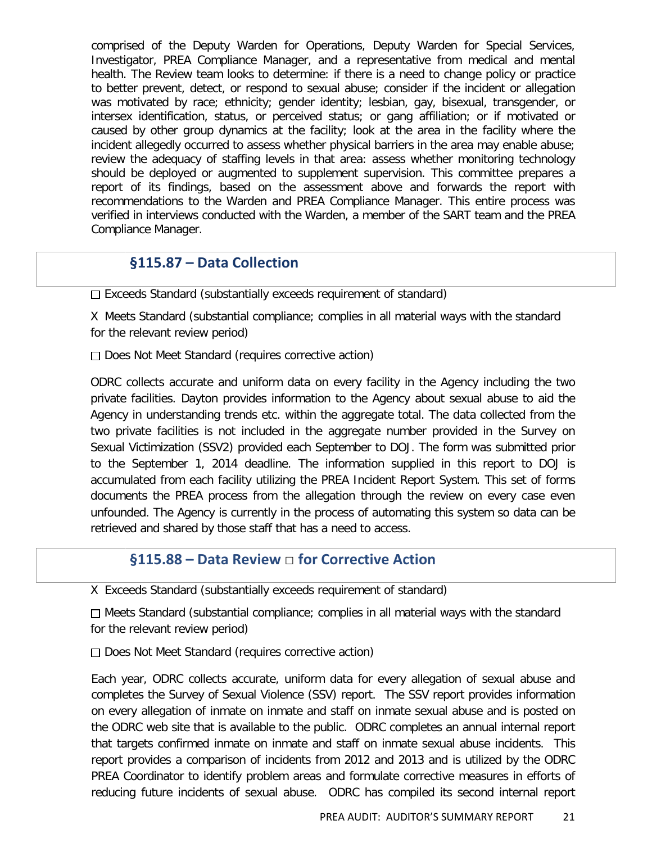comprised of the Deputy Warden for Operations, Deputy Warden for Special Services, Investigator, PREA Compliance Manager, and a representative from medical and mental health. The Review team looks to determine: if there is a need to change policy or practice to better prevent, detect, or respond to sexual abuse; consider if the incident or allegation was motivated by race; ethnicity; gender identity; lesbian, gay, bisexual, transgender, or intersex identification, status, or perceived status; or gang affiliation; or if motivated or caused by other group dynamics at the facility; look at the area in the facility where the incident allegedly occurred to assess whether physical barriers in the area may enable abuse; review the adequacy of staffing levels in that area: assess whether monitoring technology should be deployed or augmented to supplement supervision. This committee prepares a report of its findings, based on the assessment above and forwards the report with recommendations to the Warden and PREA Compliance Manager. This entire process was verified in interviews conducted with the Warden, a member of the SART team and the PREA Compliance Manager.

#### **§115.87 – Data Collection**

 $\Box$  Exceeds Standard (substantially exceeds requirement of standard)

X Meets Standard (substantial compliance; complies in all material ways with the standard for the relevant review period)

Does Not Meet Standard (requires corrective action)

ODRC collects accurate and uniform data on every facility in the Agency including the two private facilities. Dayton provides information to the Agency about sexual abuse to aid the Agency in understanding trends etc. within the aggregate total. The data collected from the two private facilities is not included in the aggregate number provided in the Survey on Sexual Victimization (SSV2) provided each September to DOJ. The form was submitted prior to the September 1, 2014 deadline. The information supplied in this report to DOJ is accumulated from each facility utilizing the PREA Incident Report System. This set of forms documents the PREA process from the allegation through the review on every case even unfounded. The Agency is currently in the process of automating this system so data can be retrieved and shared by those staff that has a need to access.

#### **§115.88 – Data Review** □ **for Corrective Action**

X Exceeds Standard (substantially exceeds requirement of standard)

 $\Box$  Meets Standard (substantial compliance; complies in all material ways with the standard for the relevant review period)

 $\Box$  Does Not Meet Standard (requires corrective action)

Each year, ODRC collects accurate, uniform data for every allegation of sexual abuse and completes the Survey of Sexual Violence (SSV) report. The SSV report provides information on every allegation of inmate on inmate and staff on inmate sexual abuse and is posted on the ODRC web site that is available to the public. ODRC completes an annual internal report that targets confirmed inmate on inmate and staff on inmate sexual abuse incidents. This report provides a comparison of incidents from 2012 and 2013 and is utilized by the ODRC PREA Coordinator to identify problem areas and formulate corrective measures in efforts of reducing future incidents of sexual abuse. ODRC has compiled its second internal report